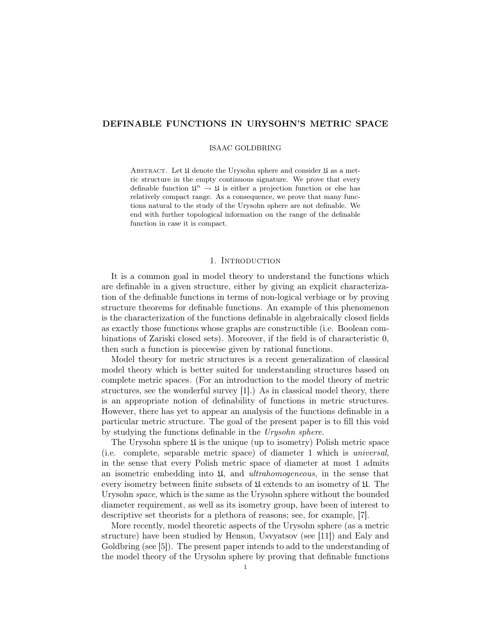# DEFINABLE FUNCTIONS IN URYSOHN'S METRIC SPACE

#### ISAAC GOLDBRING

ABSTRACT. Let  $\mathfrak U$  denote the Urysohn sphere and consider  $\mathfrak U$  as a metric structure in the empty continuous signature. We prove that every definable function  $\mathfrak{U}^n \to \mathfrak{U}$  is either a projection function or else has relatively compact range. As a consequence, we prove that many functions natural to the study of the Urysohn sphere are not definable. We end with further topological information on the range of the definable function in case it is compact.

## 1. INTRODUCTION

It is a common goal in model theory to understand the functions which are definable in a given structure, either by giving an explicit characterization of the definable functions in terms of non-logical verbiage or by proving structure theorems for definable functions. An example of this phenomenon is the characterization of the functions definable in algebraically closed fields as exactly those functions whose graphs are constructible (i.e. Boolean combinations of Zariski closed sets). Moreover, if the field is of characteristic 0, then such a function is piecewise given by rational functions.

Model theory for metric structures is a recent generalization of classical model theory which is better suited for understanding structures based on complete metric spaces. (For an introduction to the model theory of metric structures, see the wonderful survey [1].) As in classical model theory, there is an appropriate notion of definability of functions in metric structures. However, there has yet to appear an analysis of the functions definable in a particular metric structure. The goal of the present paper is to fill this void by studying the functions definable in the Urysohn sphere.

The Urysohn sphere  $\mathfrak U$  is the unique (up to isometry) Polish metric space (i.e. complete, separable metric space) of diameter 1 which is universal, in the sense that every Polish metric space of diameter at most 1 admits an isometric embedding into  $\mathfrak{U}$ , and *ultrahomogeneous*, in the sense that every isometry between finite subsets of  $\mathfrak U$  extends to an isometry of  $\mathfrak U$ . The Urysohn space, which is the same as the Urysohn sphere without the bounded diameter requirement, as well as its isometry group, have been of interest to descriptive set theorists for a plethora of reasons; see, for example, [7].

More recently, model theoretic aspects of the Urysohn sphere (as a metric structure) have been studied by Henson, Usvyatsov (see [11]) and Ealy and Goldbring (see [5]). The present paper intends to add to the understanding of the model theory of the Urysohn sphere by proving that definable functions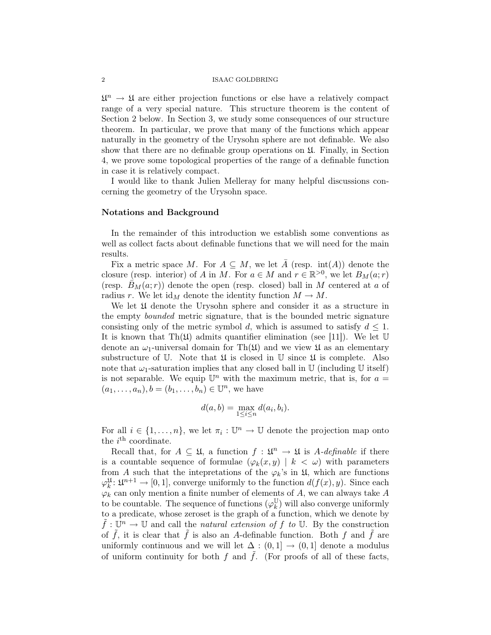#### 2 ISAAC GOLDBRING

 $\mathfrak{U}^n \to \mathfrak{U}$  are either projection functions or else have a relatively compact range of a very special nature. This structure theorem is the content of Section 2 below. In Section 3, we study some consequences of our structure theorem. In particular, we prove that many of the functions which appear naturally in the geometry of the Urysohn sphere are not definable. We also show that there are no definable group operations on  $\mathfrak{U}$ . Finally, in Section 4, we prove some topological properties of the range of a definable function in case it is relatively compact.

I would like to thank Julien Melleray for many helpful discussions concerning the geometry of the Urysohn space.

## Notations and Background

In the remainder of this introduction we establish some conventions as well as collect facts about definable functions that we will need for the main results.

Fix a metric space M. For  $A \subseteq M$ , we let  $\overline{A}$  (resp. int(A)) denote the closure (resp. interior) of A in M. For  $a \in M$  and  $r \in \mathbb{R}^{>0}$ , we let  $B_M(a;r)$ (resp.  $\bar{B}_M(a;r)$ ) denote the open (resp. closed) ball in M centered at a of radius r. We let  $\mathrm{id}_M$  denote the identity function  $M \to M$ .

We let  $\mathfrak U$  denote the Urysohn sphere and consider it as a structure in the empty bounded metric signature, that is the bounded metric signature consisting only of the metric symbol d, which is assumed to satisfy  $d \leq 1$ . It is known that Th $(\mathfrak{U})$  admits quantifier elimination (see [11]). We let U denote an  $\omega_1$ -universal domain for Th( $\mathfrak{U}$ ) and we view  $\mathfrak{U}$  as an elementary substructure of  $\mathbb U$ . Note that  $\mathfrak U$  is closed in  $\mathbb U$  since  $\mathfrak U$  is complete. Also note that  $\omega_1$ -saturation implies that any closed ball in U (including U itself) is not separable. We equip  $\mathbb{U}^n$  with the maximum metric, that is, for  $a =$  $(a_1, \ldots, a_n), b = (b_1, \ldots, b_n) \in \mathbb{U}^n$ , we have

$$
d(a,b) = \max_{1 \le i \le n} d(a_i, b_i).
$$

For all  $i \in \{1, \ldots, n\}$ , we let  $\pi_i : \mathbb{U}^n \to \mathbb{U}$  denote the projection map onto the  $i^{\text{th}}$  coordinate.

Recall that, for  $A \subseteq \mathfrak{U}$ , a function  $f : \mathfrak{U}^n \to \mathfrak{U}$  is A-definable if there is a countable sequence of formulae  $(\varphi_k(x, y) \mid k < \omega)$  with parameters from A such that the intepretations of the  $\varphi_k$ 's in  $\mathfrak{U}$ , which are functions  $\varphi_k^{\mathfrak{U}}: \mathfrak{U}^{n+1} \to [0,1],$  converge uniformly to the function  $d(f(x), y)$ . Since each  $\varphi_k$  can only mention a finite number of elements of A, we can always take A to be countable. The sequence of functions  $(\varphi_k^{\mathbb{U}})$  $_{k}^{\mathbb{U}}$ ) will also converge uniformly to a predicate, whose zeroset is the graph of a function, which we denote by  $\tilde{f}: \mathbb{U}^n \to \mathbb{U}$  and call the natural extension of f to  $\mathbb{U}$ . By the construction of  $\tilde{f}$ , it is clear that  $\tilde{f}$  is also an A-definable function. Both f and  $\tilde{f}$  are uniformly continuous and we will let  $\Delta : (0,1] \rightarrow (0,1]$  denote a modulus of uniform continuity for both f and f. (For proofs of all of these facts,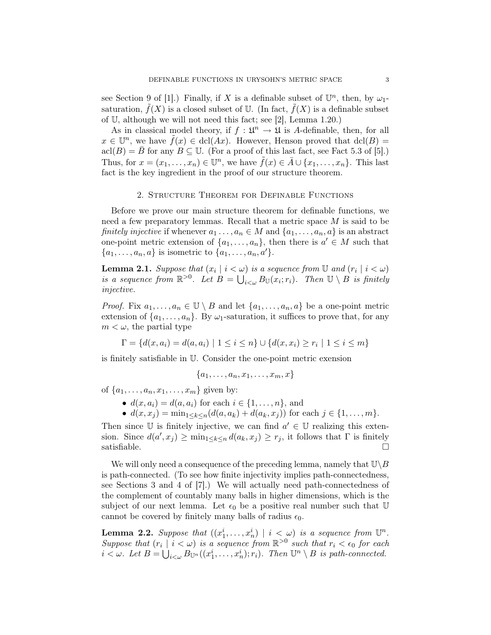see Section 9 of [1].) Finally, if X is a definable subset of  $\mathbb{U}^n$ , then, by  $\omega_1$ saturation,  $\hat{f}(X)$  is a closed subset of U. (In fact,  $\hat{f}(X)$  is a definable subset of U, although we will not need this fact; see [2], Lemma 1.20.)

As in classical model theory, if  $f: \mathfrak{U}^n \to \mathfrak{U}$  is A-definable, then, for all  $x \in \mathbb{U}^n$ , we have  $\tilde{f}(x) \in \text{dcl}(Ax)$ . However, Henson proved that  $\text{dcl}(B) =$  $\text{acl}(B) = \overline{B}$  for any  $B \subseteq \mathbb{U}$ . (For a proof of this last fact, see Fact 5.3 of [5].) Thus, for  $x = (x_1, \ldots, x_n) \in \mathbb{U}^n$ , we have  $\tilde{f}(x) \in \bar{A} \cup \{x_1, \ldots, x_n\}$ . This last fact is the key ingredient in the proof of our structure theorem.

#### 2. Structure Theorem for Definable Functions

Before we prove our main structure theorem for definable functions, we need a few preparatory lemmas. Recall that a metric space M is said to be finitely injective if whenever  $a_1 \ldots, a_n \in M$  and  $\{a_1, \ldots, a_n, a\}$  is an abstract one-point metric extension of  $\{a_1, \ldots, a_n\}$ , then there is  $a' \in M$  such that  $\{a_1, \ldots, a_n, a\}$  is isometric to  $\{a_1, \ldots, a_n, a'\}.$ 

**Lemma 2.1.** Suppose that  $(x_i | i < \omega)$  is a sequence from U and  $(r_i | i < \omega)$ is a sequence from  $\mathbb{R}^{>0}$ . Let  $B = \bigcup_{i<\omega} B_{\mathbb{U}}(x_i;r_i)$ . Then  $\mathbb{U} \setminus B$  is finitely injective.

*Proof.* Fix  $a_1, \ldots, a_n \in \mathbb{U} \setminus B$  and let  $\{a_1, \ldots, a_n, a\}$  be a one-point metric extension of  $\{a_1, \ldots, a_n\}$ . By  $\omega_1$ -saturation, it suffices to prove that, for any  $m < \omega$ , the partial type

 $\Gamma = \{d(x, a_i) = d(a, a_i) \mid 1 \leq i \leq n\} \cup \{d(x, x_i) \geq r_i \mid 1 \leq i \leq m\}$ 

is finitely satisfiable in U. Consider the one-point metric exension

 ${a_1, \ldots, a_n, x_1, \ldots, x_m, x}$ 

of  $\{a_1, \ldots, a_n, x_1, \ldots, x_m\}$  given by:

•  $d(x, a_i) = d(a, a_i)$  for each  $i \in \{1, ..., n\}$ , and

•  $d(x, x_i) = \min_{1 \leq k \leq n} (d(a, a_k) + d(a_k, x_i))$  for each  $j \in \{1, ..., m\}$ .

Then since  $\mathbb U$  is finitely injective, we can find  $a' \in \mathbb U$  realizing this extension. Since  $d(a', x_j) \ge \min_{1 \le k \le n} d(a_k, x_j) \ge r_j$ , it follows that  $\Gamma$  is finitely satisfiable.  $\Box$ 

We will only need a consequence of the preceding lemma, namely that  $\mathbb{U}\backslash B$ is path-connected. (To see how finite injectivity implies path-connectedness, see Sections 3 and 4 of [7].) We will actually need path-connectedness of the complement of countably many balls in higher dimensions, which is the subject of our next lemma. Let  $\epsilon_0$  be a positive real number such that  $\mathbb U$ cannot be covered by finitely many balls of radius  $\epsilon_0$ .

**Lemma 2.2.** Suppose that  $((x_1^i, \ldots, x_n^i) \mid i < \omega)$  is a sequence from  $\mathbb{U}^n$ . Suppose that  $(r_i \mid i < \omega)$  is a sequence from  $\mathbb{R}^{>0}$  such that  $r_i < \epsilon_0$  for each  $i \leq \omega$ . Let  $B = \bigcup_{i \leq \omega} B_{\mathbb{U}^n}((x_1^i, \ldots, x_n^i); r_i)$ . Then  $\mathbb{U}^n \setminus B$  is path-connected.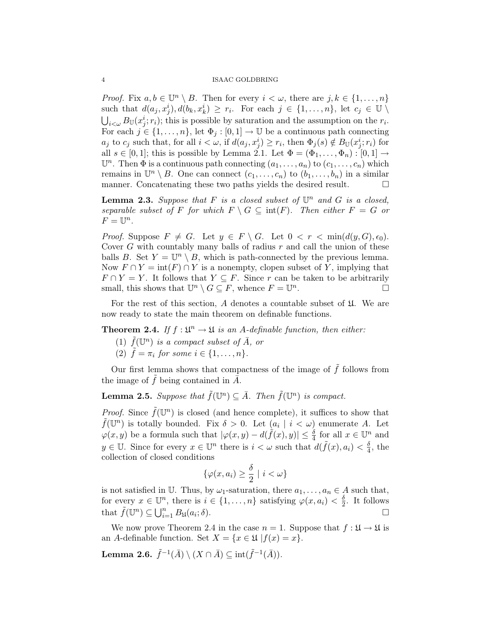#### 4 ISAAC GOLDBRING

*Proof.* Fix  $a, b \in \mathbb{U}^n \setminus B$ . Then for every  $i < \omega$ , there are  $j, k \in \{1, ..., n\}$ such that  $d(a_j, x_j^i), d(b_k, x_k^i) \geq r_i$ . For each  $j \in \{1, ..., n\}$ , let  $c_j \in \mathbb{U} \setminus \mathbb{U}$  $\bigcup_{i<\omega} B_{\mathbb{U}}(x_j^i; r_i)$ ; this is possible by saturation and the assumption on the  $r_i$ . For each  $j \in \{1, \ldots, n\}$ , let  $\Phi_j : [0, 1] \to \mathbb{U}$  be a continuous path connecting  $a_j$  to  $c_j$  such that, for all  $i < \omega$ , if  $d(a_j, x_j^i) \ge r_i$ , then  $\Phi_j(s) \notin B_{\mathbb{U}}(x_j^i; r_i)$  for all  $s \in [0,1]$ ; this is possible by Lemma 2.1. Let  $\Phi = (\Phi_1, \ldots, \Phi_n) : [0,1] \rightarrow$  $\mathbb{U}^n$ . Then  $\Phi$  is a continuous path connecting  $(a_1, \ldots, a_n)$  to  $(c_1, \ldots, c_n)$  which remains in  $\mathbb{U}^n \setminus B$ . One can connect  $(c_1, \ldots, c_n)$  to  $(b_1, \ldots, b_n)$  in a similar manner. Concatenating these two paths yields the desired result.

**Lemma 2.3.** Suppose that F is a closed subset of  $\mathbb{U}^n$  and G is a closed, separable subset of F for which  $F \setminus G \subseteq \text{int}(F)$ . Then either  $F = G$  or  $F=\mathbb{U}^n$ .

*Proof.* Suppose  $F \neq G$ . Let  $y \in F \setminus G$ . Let  $0 < r < \min(d(y, G), \epsilon_0)$ . Cover  $G$  with countably many balls of radius  $r$  and call the union of these balls B. Set  $Y = \mathbb{U}^n \setminus B$ , which is path-connected by the previous lemma. Now  $F \cap Y = \text{int}(F) \cap Y$  is a nonempty, clopen subset of Y, implying that  $F \cap Y = Y$ . It follows that  $Y \subseteq F$ . Since r can be taken to be arbitrarily small, this shows that  $\mathbb{U}^n \setminus G \subseteq F$ , whence  $F = \mathbb{U}^n$ .

For the rest of this section,  $A$  denotes a countable subset of  $\mathfrak U$ . We are now ready to state the main theorem on definable functions.

**Theorem 2.4.** If  $f : \mathfrak{U}^n \to \mathfrak{U}$  is an A-definable function, then either:

- (1)  $\tilde{f}(\mathbb{U}^n)$  is a compact subset of  $\bar{A}$ , or
- (2)  $\tilde{f} = \pi_i$  for some  $i \in \{1, \ldots, n\}.$

Our first lemma shows that compactness of the image of  $\tilde{f}$  follows from the image of  $\tilde{f}$  being contained in  $\bar{A}$ .

**Lemma 2.5.** Suppose that  $\tilde{f}(\mathbb{U}^n) \subseteq \overline{A}$ . Then  $\tilde{f}(\mathbb{U}^n)$  is compact.

*Proof.* Since  $\tilde{f}(\mathbb{U}^n)$  is closed (and hence complete), it suffices to show that  $\tilde{f}(\mathbb{U}^n)$  is totally bounded. Fix  $\delta > 0$ . Let  $(a_i | i < \omega)$  enumerate A. Let  $\varphi(x, y)$  be a formula such that  $|\varphi(x, y) - d(\tilde{f}(x), y)| \leq \frac{\delta}{4}$  for all  $x \in \mathbb{U}^n$  and  $y \in \mathbb{U}$ . Since for every  $x \in \mathbb{U}^n$  there is  $i < \omega$  such that  $d(\tilde{f}(x), a_i) < \frac{\delta}{4}$  $\frac{\delta}{4}$ , the collection of closed conditions

$$
\{\varphi(x, a_i) \ge \frac{\delta}{2} \mid i < \omega\}
$$

is not satisfied in U. Thus, by  $\omega_1$ -saturation, there  $a_1, \ldots, a_n \in A$  such that, for every  $x \in \mathbb{U}^n$ , there is  $i \in \{1, \ldots, n\}$  satisfying  $\varphi(x, a_i) < \frac{\delta}{2}$  $\frac{\delta}{2}$ . It follows that  $\tilde{f}(\mathbb{U}^n) \subseteq \bigcup_{i=1}^n B_{\mathfrak{U}}(a_i)$  $;\delta$ ).

We now prove Theorem 2.4 in the case  $n = 1$ . Suppose that  $f : \mathfrak{U} \to \mathfrak{U}$  is an A-definable function. Set  $X = \{x \in \mathfrak{U} | f(x) = x\}.$ 

Lemma 2.6.  $\tilde{f}^{-1}(\bar{A}) \setminus (X \cap \bar{A}) \subseteq \text{int}(\tilde{f}^{-1}(\bar{A})).$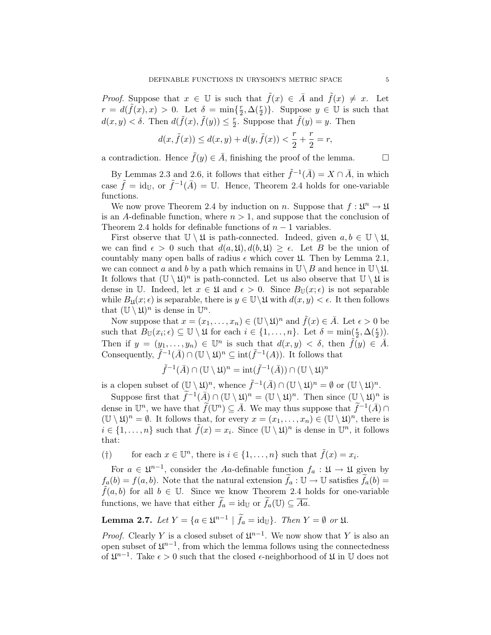*Proof.* Suppose that  $x \in \mathbb{U}$  is such that  $\tilde{f}(x) \in \overline{A}$  and  $\tilde{f}(x) \neq x$ . Let  $r = d(\tilde{f}(x), x) > 0$ . Let  $\delta = \min\{\frac{r}{2}\}$  $\{\frac{r}{2}, \Delta(\frac{r}{2})\}.$  Suppose  $y \in \mathbb{U}$  is such that  $d(x, y) < \delta$ . Then  $d(\tilde{f}(x), \tilde{f}(y)) \leq \frac{r}{2}$  $\sum_{i=1}^{r}$  Suppose that  $\tilde{f}(y) = y$ . Then

$$
d(x, \tilde{f}(x)) \le d(x, y) + d(y, \tilde{f}(x)) < \frac{r}{2} + \frac{r}{2} = r,
$$

a contradiction. Hence  $\tilde{f}(y) \in \bar{A}$ , finishing the proof of the lemma.

By Lemmas 2.3 and 2.6, it follows that either  $\tilde{f}^{-1}(\bar{A}) = X \cap \bar{A}$ , in which case  $\tilde{f} = id_{\mathbb{U}},$  or  $\tilde{f}^{-1}(\bar{A}) = \mathbb{U}$ . Hence, Theorem 2.4 holds for one-variable functions.

We now prove Theorem 2.4 by induction on n. Suppose that  $f: \mathfrak{U}^n \to \mathfrak{U}$ is an A-definable function, where  $n > 1$ , and suppose that the conclusion of Theorem 2.4 holds for definable functions of  $n-1$  variables.

First observe that  $\mathbb{U} \setminus \mathfrak{U}$  is path-connected. Indeed, given  $a, b \in \mathbb{U} \setminus \mathfrak{U}$ , we can find  $\epsilon > 0$  such that  $d(a, \mathfrak{U}), d(b, \mathfrak{U}) \geq \epsilon$ . Let B be the union of countably many open balls of radius  $\epsilon$  which cover  $\mathfrak{U}$ . Then by Lemma 2.1, we can connect a and b by a path which remains in  $\mathbb{U}\setminus B$  and hence in  $\mathbb{U}\setminus\mathfrak{U}$ . It follows that  $(\mathbb{U} \setminus \mathfrak{U})^n$  is path-conncted. Let us also observe that  $\mathbb{U} \setminus \mathfrak{U}$  is dense in U. Indeed, let  $x \in \mathfrak{U}$  and  $\epsilon > 0$ . Since  $B_{\mathbb{U}}(x;\epsilon)$  is not separable while  $B_{\mathfrak{U}}(x; \epsilon)$  is separable, there is  $y \in \mathbb{U} \backslash \mathfrak{U}$  with  $d(x, y) < \epsilon$ . It then follows that  $(\mathbb{U}\setminus\mathfrak{U})^n$  is dense in  $\mathbb{U}^n$ .

Now suppose that  $x = (x_1, \ldots, x_n) \in (\mathbb{U} \setminus \mathfrak{U})^n$  and  $\tilde{f}(x) \in \overline{A}$ . Let  $\epsilon > 0$  be such that  $B_{\mathbb{U}}(x_i;\epsilon) \subseteq \mathbb{U} \setminus \mathfrak{U}$  for each  $i \in \{1,\ldots,n\}$ . Let  $\delta = \min(\frac{\epsilon}{2}, \Delta(\frac{\epsilon}{2}))$ . Then if  $y = (y_1, \ldots, y_n) \in \mathbb{U}^n$  is such that  $d(x, y) < \delta$ , then  $\tilde{f}(y) \in \overline{A}$ . Consequently,  $\tilde{f}^{-1}(\bar{A}) \cap (\mathbb{U} \setminus \mathfrak{U})^n \subseteq \text{int}(\tilde{f}^{-1}(A)).$  It follows that

$$
\tilde{f}^{-1}(\bar{A})\cap(\mathbb{U}\setminus\mathfrak{U})^n=\operatorname{int}(\tilde{f}^{-1}(\bar{A}))\cap(\mathbb{U}\setminus\mathfrak{U})^n
$$

is a clopen subset of  $(\mathbb{U}\setminus\mathfrak{U})^n$ , whence  $\tilde{f}^{-1}(\bar{A})\cap(\mathbb{U}\setminus\mathfrak{U})^n=\emptyset$  or  $(\mathbb{U}\setminus\mathfrak{U})^n$ .

Suppose first that  $\widetilde{f}^{-1}(\overline{A}) \cap (\mathbb{U} \setminus \mathfrak{U})^n = (\mathbb{U} \setminus \mathfrak{U})^n$ . Then since  $(\mathbb{U} \setminus \mathfrak{U})^n$  is dense in  $\mathbb{U}^n$ , we have that  $\widetilde{f}(\mathbb{U}^n) \subseteq \overline{A}$ . We may thus suppose that  $\widetilde{f}^{-1}(\overline{A}) \cap$  $(\mathbb{U}\setminus\mathfrak{U})^n=\emptyset$ . It follows that, for every  $x=(x_1,\ldots,x_n)\in(\mathbb{U}\setminus\mathfrak{U})^n$ , there is  $i \in \{1, \ldots, n\}$  such that  $\tilde{f}(x) = x_i$ . Since  $(\mathbb{U} \setminus \mathfrak{U})^n$  is dense in  $\mathbb{U}^n$ , it follows that:

(†) for each  $x \in \mathbb{U}^n$ , there is  $i \in \{1, ..., n\}$  such that  $\tilde{f}(x) = x_i$ .

For  $a \in \mathfrak{U}^{n-1}$ , consider the Aa-definable function  $f_a : \mathfrak{U} \to \mathfrak{U}$  given by  $f_a(b) = f(a, b)$ . Note that the natural extension  $\tilde{f}_a : \mathbb{U} \to \mathbb{U}$  satisfies  $\tilde{f}_a(b) =$  $f(a, b)$  for all  $b \in \mathbb{U}$ . Since we know Theorem 2.4 holds for one-variable functions, we have that either  $\widetilde{f}_a = id_{\mathbb{U}}$  or  $\widetilde{f}_a(\mathbb{U}) \subseteq \overline{Aa}$ .

**Lemma 2.7.** Let  $Y = \{a \in \mathfrak{U}^{n-1} \mid \tilde{f}_a = \text{id}_{\mathbb{U}}\}$ . Then  $Y = \emptyset$  or  $\mathfrak{U}$ .

*Proof.* Clearly Y is a closed subset of  $\mathfrak{U}^{n-1}$ . We now show that Y is also an open subset of  $\mathfrak{U}^{n-1}$ , from which the lemma follows using the connectedness of  $\mathfrak{U}^{n-1}$ . Take  $\epsilon > 0$  such that the closed  $\epsilon$ -neighborhood of  $\mathfrak{U}$  in  $\mathbb U$  does not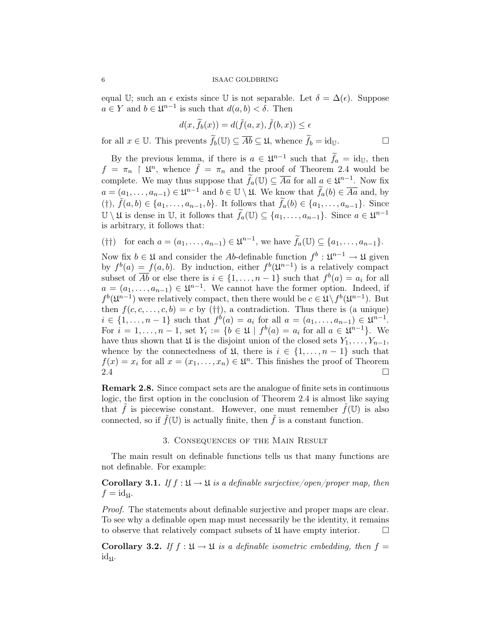equal U; such an  $\epsilon$  exists since U is not separable. Let  $\delta = \Delta(\epsilon)$ . Suppose  $a \in Y$  and  $b \in \mathfrak{U}^{n-1}$  is such that  $d(a, b) < \delta$ . Then

$$
d(x, \widetilde{f}_b(x)) = d(\widetilde{f}(a, x), \widetilde{f}(b, x)) \le \epsilon
$$

for all  $x \in \mathbb{U}$ . This prevents  $\widetilde{f}_b(\mathbb{U}) \subseteq \overline{Ab} \subseteq \mathfrak{U}$ , whence  $\widetilde{f}_b = id_{\mathbb{U}}$ .

By the previous lemma, if there is  $a \in \mathfrak{U}^{n-1}$  such that  $\widetilde{f}_a = id_{\mathbb{U}}$ , then  $f = \pi_n \upharpoonright \mathfrak{U}^n$ , whence  $\tilde{f} = \pi_n$  and the proof of Theorem 2.4 would be complete. We may thus suppose that  $\widetilde{f}_a(\mathbb{U}) \subseteq \overline{Aa}$  for all  $a \in \mathfrak{U}^{n-1}$ . Now fix  $a = (a_1, \ldots, a_{n-1}) \in \mathfrak{U}^{n-1}$  and  $b \in \mathbb{U} \setminus \mathfrak{U}$ . We know that  $\widetilde{f}_a(b) \in \overline{Aa}$  and, by (†),  $\tilde{f}(a, b) \in \{a_1, \ldots, a_{n-1}, b\}$ . It follows that  $\tilde{f}_a(b) \in \{a_1, \ldots, a_{n-1}\}$ . Since  $\mathbb{U} \setminus \mathfrak{U}$  is dense in  $\mathbb{U}$ , it follows that  $\widetilde{f}_a(\mathbb{U}) \subseteq \{a_1, \ldots, a_{n-1}\}$ . Since  $a \in \mathfrak{U}^{n-1}$ is arbitrary, it follows that:

$$
(\dagger\dagger) \text{ for each } a = (a_1,\ldots,a_{n-1}) \in \mathfrak{U}^{n-1}, \text{ we have } \widetilde{f}_a(\mathbb{U}) \subseteq \{a_1,\ldots,a_{n-1}\}.
$$

Now fix  $b \in \mathfrak{U}$  and consider the Ab-definable function  $f^b: \mathfrak{U}^{n-1} \to \mathfrak{U}$  given by  $f^{b}(a) = f(a, b)$ . By induction, either  $f^{b}(\mathfrak{U}^{n-1})$  is a relatively compact subset of  $\overline{Ab}$  or else there is  $i \in \{1, \ldots, n-1\}$  such that  $f^b(a) = a_i$  for all  $a = (a_1, \ldots, a_{n-1}) \in \mathfrak{U}^{n-1}$ . We cannot have the former option. Indeed, if  $f^{b}(\mathfrak{U}^{n-1})$  were relatively compact, then there would be  $c \in \mathfrak{U} \setminus f^{b}(\mathfrak{U}^{n-1})$ . But then  $f(c, c, \ldots, c, b) = c$  by (††), a contradiction. Thus there is (a unique)  $i \in \{1, ..., n-1\}$  such that  $f^{b}(a) = a_i$  for all  $a = (a_1, ..., a_{n-1}) \in \mathfrak{U}^{n-1}$ . For  $i = 1, \ldots, n - 1$ , set  $Y_i := \{b \in \mathfrak{U} \mid f^b(a) = a_i \text{ for all } a \in \mathfrak{U}^{n-1}\}.$  We have thus shown that  $\mathfrak U$  is the disjoint union of the closed sets  $Y_1, \ldots, Y_{n-1}$ , whence by the connectedness of  $\mathfrak{U}$ , there is  $i \in \{1, \ldots, n-1\}$  such that  $f(x) = x_i$  for all  $x = (x_1, \ldots, x_n) \in \mathfrak{U}^n$ . This finishes the proof of Theorem  $2.4$ 

Remark 2.8. Since compact sets are the analogue of finite sets in continuous logic, the first option in the conclusion of Theorem 2.4 is almost like saying that  $\hat{f}$  is piecewise constant. However, one must remember  $f(\mathbb{U})$  is also connected, so if  $\tilde{f}(\mathbb{U})$  is actually finite, then  $\tilde{f}$  is a constant function.

#### 3. Consequences of the Main Result

The main result on definable functions tells us that many functions are not definable. For example:

**Corollary 3.1.** If  $f : \mathfrak{U} \to \mathfrak{U}$  is a definable surjective/open/proper map, then  $f = id_{\mathfrak{U}}.$ 

Proof. The statements about definable surjective and proper maps are clear. To see why a definable open map must necessarily be the identity, it remains to observe that relatively compact subsets of  $\mathfrak U$  have empty interior.  $\Box$ 

Corollary 3.2. If  $f : \mathfrak{U} \to \mathfrak{U}$  is a definable isometric embedding, then  $f =$  $id_{\mathfrak{U}}$ .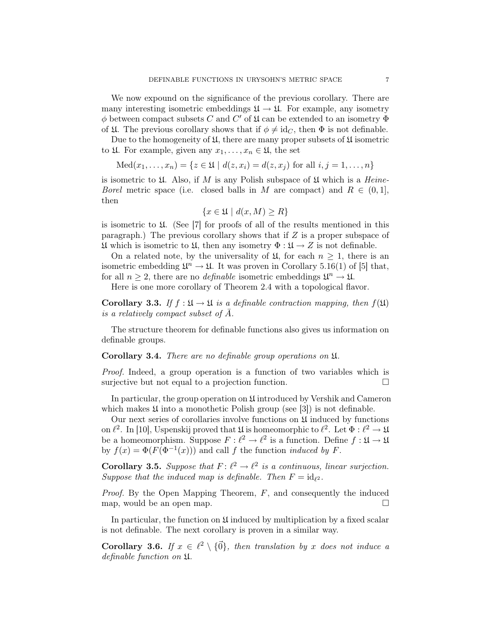We now expound on the significance of the previous corollary. There are many interesting isometric embeddings  $\mathfrak{U} \to \mathfrak{U}$ . For example, any isometry  $\phi$  between compact subsets C and C' of  $\mathfrak U$  can be extended to an isometry  $\Phi$ of  $\mathfrak{U}$ . The previous corollary shows that if  $\phi \neq \mathrm{id}_C$ , then  $\Phi$  is not definable.

Due to the homogeneity of  $\mathfrak{U}$ , there are many proper subsets of  $\mathfrak{U}$  isometric to  $\mathfrak{U}$ . For example, given any  $x_1, \ldots, x_n \in \mathfrak{U}$ , the set

Med
$$
(x_1,...,x_n)
$$
 = { $z \in \mathfrak{U} \mid d(z, x_i) = d(z, x_j)$  for all  $i, j = 1,..., n$ }

is isometric to  $\mathfrak U$ . Also, if M is any Polish subspace of  $\mathfrak U$  which is a *Heine*-*Borel* metric space (i.e. closed balls in M are compact) and  $R \in (0,1]$ , then

$$
\{x \in \mathfrak{U} \mid d(x, M) \ge R\}
$$

is isometric to  $\mathfrak U$ . (See [7] for proofs of all of the results mentioned in this paragraph.) The previous corollary shows that if  $Z$  is a proper subspace of  $\mathfrak U$  which is isometric to  $\mathfrak U$ , then any isometry  $\Phi : \mathfrak U \to Z$  is not definable.

On a related note, by the universality of  $\mathfrak{U}$ , for each  $n \geq 1$ , there is an isometric embedding  $\mathfrak{U}^n \to \mathfrak{U}$ . It was proven in Corollary 5.16(1) of [5] that, for all  $n \geq 2$ , there are no *definable* isometric embeddings  $\mathfrak{U}^n \to \mathfrak{U}$ .

Here is one more corollary of Theorem 2.4 with a topological flavor.

Corollary 3.3. If  $f : \mathfrak{U} \to \mathfrak{U}$  is a definable contraction mapping, then  $f(\mathfrak{U})$ is a relatively compact subset of  $\overline{A}$ .

The structure theorem for definable functions also gives us information on definable groups.

## Corollary 3.4. There are no definable group operations on U.

Proof. Indeed, a group operation is a function of two variables which is surjective but not equal to a projection function.

In particular, the group operation on  $\mathfrak U$  introduced by Vershik and Cameron which makes  $\mathfrak U$  into a monothetic Polish group (see [3]) is not definable.

Our next series of corollaries involve functions on  $\mathfrak U$  induced by functions on  $\ell^2$ . In [10], Uspenskij proved that  $\mathfrak U$  is homeomorphic to  $\ell^2$ . Let  $\Phi : \ell^2 \to \mathfrak U$ be a homeomorphism. Suppose  $F : \ell^2 \to \ell^2$  is a function. Define  $f : \mathfrak{U} \to \mathfrak{U}$ by  $f(x) = \Phi(F(\Phi^{-1}(x)))$  and call f the function *induced by* F.

**Corollary 3.5.** Suppose that  $F: \ell^2 \to \ell^2$  is a continuous, linear surjection. Suppose that the induced map is definable. Then  $F = id_{\ell^2}$ .

*Proof.* By the Open Mapping Theorem,  $F$ , and consequently the induced map, would be an open map.  $\square$ 

In particular, the function on  $\mathfrak U$  induced by multiplication by a fixed scalar is not definable. The next corollary is proven in a similar way.

**Corollary 3.6.** If  $x \in \ell^2 \setminus {\{\vec{0}\}}$ , then translation by x does not induce a definable function on U.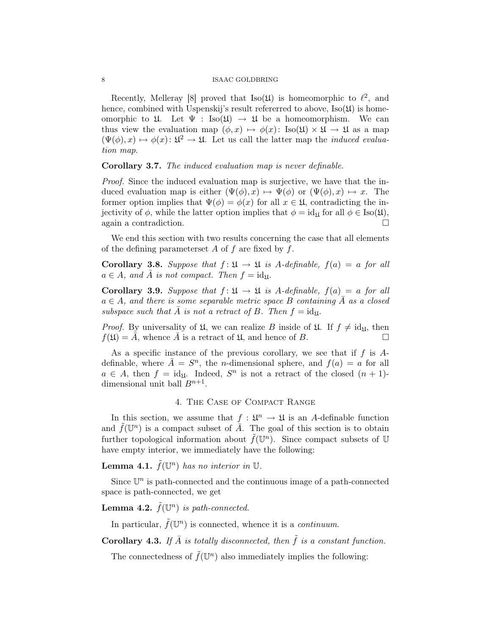## 8 ISAAC GOLDBRING

Recently, Melleray [8] proved that  $Iso(\mathfrak{U})$  is homeomorphic to  $\ell^2$ , and hence, combined with Uspenskij's result refererred to above,  $Iso(\mathfrak{U})$  is homeomorphic to  $\mathfrak{U}$ . Let  $\Psi : \text{Iso}(\mathfrak{U}) \to \mathfrak{U}$  be a homeomorphism. We can thus view the evaluation map  $(\phi, x) \mapsto \phi(x)$ : Iso $(\mathfrak{U}) \times \mathfrak{U} \to \mathfrak{U}$  as a map  $(\Psi(\phi), x) \mapsto \phi(x) \colon \mathfrak{U}^2 \to \mathfrak{U}$ . Let us call the latter map the *induced evalua*tion map.

Corollary 3.7. The induced evaluation map is never definable.

Proof. Since the induced evaluation map is surjective, we have that the induced evaluation map is either  $(\Psi(\phi), x) \mapsto \Psi(\phi)$  or  $(\Psi(\phi), x) \mapsto x$ . The former option implies that  $\Psi(\phi) = \phi(x)$  for all  $x \in \mathfrak{U}$ , contradicting the injectivity of  $\phi$ , while the latter option implies that  $\phi = id_{\mathfrak{U}}$  for all  $\phi \in Iso(\mathfrak{U}),$ again a contradiction.

We end this section with two results concerning the case that all elements of the defining parameterset A of f are fixed by f.

Corollary 3.8. Suppose that  $f: \mathfrak{U} \to \mathfrak{U}$  is A-definable,  $f(a) = a$  for all  $a \in A$ , and  $\overline{A}$  is not compact. Then  $f = id_{\mathfrak{U}}$ .

Corollary 3.9. Suppose that  $f: \mathfrak{U} \to \mathfrak{U}$  is A-definable,  $f(a) = a$  for all  $a \in A$ , and there is some separable metric space B containing  $\overline{A}$  as a closed subspace such that  $\overline{A}$  is not a retract of B. Then  $f = id_{\mathfrak{U}}$ .

*Proof.* By universality of  $\mathfrak{U}$ , we can realize B inside of  $\mathfrak{U}$ . If  $f \neq id_{\mathfrak{U}}$ , then  $f(\mathfrak{U}) = A$ , whence A is a retract of  $\mathfrak{U}$ , and hence of B.

As a specific instance of the previous corollary, we see that if  $f$  is  $A$ definable, where  $\bar{A} = S^n$ , the *n*-dimensional sphere, and  $f(a) = a$  for all  $a \in A$ , then  $f = id_{\mathfrak{U}}$ . Indeed,  $S<sup>n</sup>$  is not a retract of the closed  $(n + 1)$ dimensional unit ball  $B^{n+1}$ .

#### 4. The Case of Compact Range

In this section, we assume that  $f: \mathfrak{U}^n \to \mathfrak{U}$  is an A-definable function and  $\tilde{f}(\mathbb{U}^n)$  is a compact subset of  $\overline{A}$ . The goal of this section is to obtain further topological information about  $\tilde{f}(\mathbb{U}^n)$ . Since compact subsets of U have empty interior, we immediately have the following:

**Lemma 4.1.**  $\tilde{f}(\mathbb{U}^n)$  has no interior in  $\mathbb{U}$ .

Since  $\mathbb{U}^n$  is path-connected and the continuous image of a path-connected space is path-connected, we get

**Lemma 4.2.**  $\tilde{f}(\mathbb{U}^n)$  is path-connected.

In particular,  $\tilde{f}(\mathbb{U}^n)$  is connected, whence it is a *continuum*.

Corollary 4.3. If  $\bar{A}$  is totally disconnected, then  $\tilde{f}$  is a constant function.

The connectedness of  $\tilde{f}(\mathbb{U}^n)$  also immediately implies the following: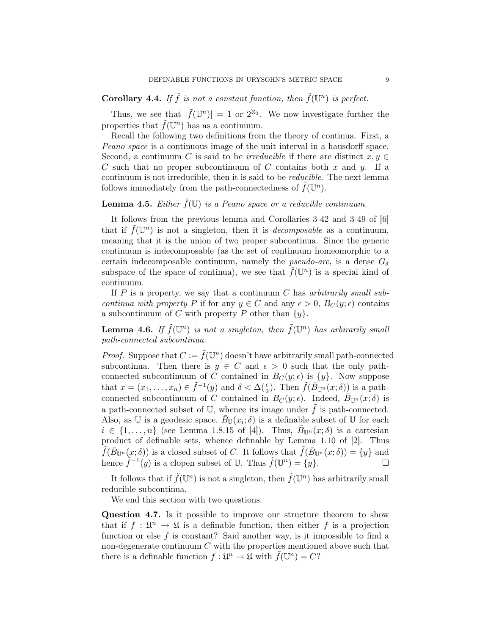**Corollary 4.4.** If  $\tilde{f}$  is not a constant function, then  $\tilde{f}(\mathbb{U}^n)$  is perfect.

Thus, we see that  $|\tilde{f}(\mathbb{U}^n)| = 1$  or  $2^{\aleph_0}$ . We now investigate further the properties that  $\tilde{f}(\mathbb{U}^n)$  has as a continuum.

Recall the following two definitions from the theory of continua. First, a Peano space is a continuous image of the unit interval in a hausdorff space. Second, a continuum C is said to be *irreducible* if there are distinct  $x, y \in$ C such that no proper subcontinuum of C contains both x and y. If a continuum is not irreducible, then it is said to be reducible. The next lemma follows immediately from the path-connectedness of  $\tilde{f}(\mathbb{U}^n)$ .

# **Lemma 4.5.** Either  $\tilde{f}(\mathbb{U})$  is a Peano space or a reducible continuum.

It follows from the previous lemma and Corollaries 3-42 and 3-49 of [6] that if  $\tilde{f}(\mathbb{U}^n)$  is not a singleton, then it is *decomposable* as a continuum, meaning that it is the union of two proper subcontinua. Since the generic continuum is indecomposable (as the set of continuum homeomorphic to a certain indecomposable continuum, namely the *pseudo-arc*, is a dense  $G_{\delta}$ subspace of the space of continua), we see that  $\tilde{f}(\mathbb{U}^n)$  is a special kind of continuum.

If  $P$  is a property, we say that a continuum  $C$  has arbitrarily small subcontinua with property P if for any  $y \in C$  and any  $\epsilon > 0$ ,  $B_C(y; \epsilon)$  contains a subcontinuum of C with property P other than  $\{y\}$ .

**Lemma 4.6.** If  $\tilde{f}(\mathbb{U}^n)$  is not a singleton, then  $\tilde{f}(\mathbb{U}^n)$  has arbirarily small path-connected subcontinua.

*Proof.* Suppose that  $C := \tilde{f}(\mathbb{U}^n)$  doesn't have arbitrarily small path-connected subcontinua. Then there is  $y \in C$  and  $\epsilon > 0$  such that the only pathconnected subcontinuum of C contained in  $B_C(y; \epsilon)$  is  $\{y\}$ . Now suppose that  $x = (x_1, \ldots, x_n) \in \tilde{f}^{-1}(y)$  and  $\delta < \Delta(\frac{\epsilon}{2})$ . Then  $\tilde{f}(\overline{B}_{\mathbb{U}^n}(x;\delta))$  is a pathconnected subcontinuum of C contained in  $B_C(y; \epsilon)$ . Indeed,  $\overline{B}_{\mathbb{U}^n}(x; \delta)$  is a path-connected subset of U, whence its image under  $\tilde{f}$  is path-connected. Also, as U is a geodesic space,  $\bar{B}_{\mathbb{U}}(x_i;\delta)$  is a definable subset of U for each  $i \in \{1, \ldots, n\}$  (see Lemma 1.8.15 of [4]). Thus,  $\bar{B}_{\mathbb{U}^n}(x;\delta)$  is a cartesian product of definable sets, whence definable by Lemma 1.10 of [2]. Thus  $\tilde{f}(\bar{B}_{\mathbb{U}^n}(x;\delta))$  is a closed subset of C. It follows that  $\tilde{f}(\bar{B}_{\mathbb{U}^n}(x;\delta)) = \{y\}$  and hence  $\tilde{f}^{-1}(y)$  is a clopen subset of U. Thus  $\tilde{f}(\mathbb{U}^n) = \{y\}.$ 

It follows that if  $\tilde{f}(\mathbb{U}^n)$  is not a singleton, then  $\tilde{f}(\mathbb{U}^n)$  has arbitrarily small reducible subcontinua.

We end this section with two questions.

Question 4.7. Is it possible to improve our structure theorem to show that if  $f: \mathfrak{U}^n \to \mathfrak{U}$  is a definable function, then either f is a projection function or else  $f$  is constant? Said another way, is it impossible to find a non-degenerate continuum  $C$  with the properties mentioned above such that there is a definable function  $f: \mathfrak{U}^n \to \mathfrak{U}$  with  $\tilde{f}(\mathbb{U}^n) = C$ ?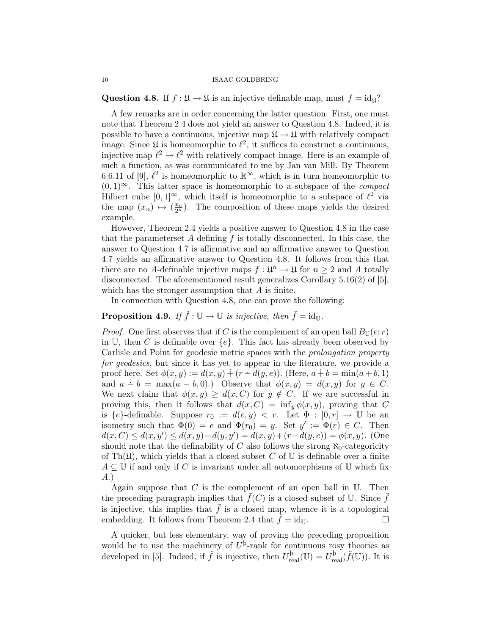Question 4.8. If  $f : \mathfrak{U} \to \mathfrak{U}$  is an injective definable map, must  $f = id_{\mathfrak{U}}?$ 

A few remarks are in order concerning the latter question. First, one must note that Theorem 2.4 does not yield an answer to Question 4.8. Indeed, it is possible to have a continuous, injective map  $\mathfrak{U} \to \mathfrak{U}$  with relatively compact image. Since  $\mathfrak U$  is homeomorphic to  $\ell^2$ , it suffices to construct a continuous, injective map  $\ell^2 \to \ell^2$  with relatively compact image. Here is an example of such a function, as was communicated to me by Jan van Mill. By Theorem 6.6.11 of [9],  $\ell^2$  is homeomorphic to  $\mathbb{R}^{\infty}$ , which is in turn homeomorphic to  $(0, 1)^\infty$ . This latter space is homeomorphic to a subspace of the *compact* Hilbert cube  $[0, 1]^\infty$ , which itself is homeomorphic to a subspace of  $\ell^2$  via the map  $(x_n) \mapsto (x_n)$ . The composition of these maps yields the desired example.

However, Theorem 2.4 yields a positive answer to Question 4.8 in the case that the parameters at A defining  $f$  is totally disconnected. In this case, the answer to Question 4.7 is affirmative and an affirmative answer to Question 4.7 yields an affirmative answer to Question 4.8. It follows from this that there are no A-definable injective maps  $f: \mathfrak{U}^n \to \mathfrak{U}$  for  $n \geq 2$  and A totally disconnected. The aforementioned result generalizes Corollary 5.16(2) of [5], which has the stronger assumption that  $A$  is finite.

In connection with Question 4.8, one can prove the following:

**Proposition 4.9.** If  $\tilde{f} : \mathbb{U} \to \mathbb{U}$  is injective, then  $\tilde{f} = id_{\mathbb{U}}$ .

*Proof.* One first observes that if C is the complement of an open ball  $B_{\mathbb{U}}(e; r)$ in U, then C is definable over  $\{e\}$ . This fact has already been observed by Carlisle and Point for geodesic metric spaces with the prolongation property for geodesics, but since it has yet to appear in the literature, we provide a proof here. Set  $\phi(x, y) := d(x, y) + (r - d(y, e))$ . (Here,  $a + b = \min(a + b, 1)$ ) and  $a - b = \max(a - b, 0)$ .) Observe that  $\phi(x, y) = d(x, y)$  for  $y \in C$ . We next claim that  $\phi(x, y) \geq d(x, C)$  for  $y \notin C$ . If we are successful in proving this, then it follows that  $d(x, C) = \inf_y \phi(x, y)$ , proving that C is  $\{e\}$ -definable. Suppose  $r_0 := d(e, y) < r$ . Let  $\Phi : [0, r] \to \mathbb{U}$  be an isometry such that  $\Phi(0) = e$  and  $\Phi(r_0) = y$ . Set  $y' := \Phi(r) \in C$ . Then  $d(x, C) \leq d(x, y') \leq d(x, y) + d(y, y') = d(x, y) + (r - d(y, e)) = \phi(x, y)$ . (One should note that the definability of C also follows the strong  $\aleph_0$ -categoricity of Th $(\mathfrak{U})$ , which yields that a closed subset C of U is definable over a finite  $A \subseteq \mathbb{U}$  if and only if C is invariant under all automorphisms of  $\mathbb{U}$  which fix A.)

Again suppose that  $C$  is the complement of an open ball in  $U$ . Then the preceding paragraph implies that  $\tilde{f}(C)$  is a closed subset of U. Since  $\tilde{f}$ is injective, this implies that  $\tilde{f}$  is a closed map, whence it is a topological embedding. It follows from Theorem 2.4 that  $f = id_{\mathbb{U}}$ .

A quicker, but less elementary, way of proving the preceding proposition would be to use the machinery of  $U^{\mathrm{b}}$ -rank for continuous rosy theories as developed in [5]. Indeed, if  $\tilde{f}$  is injective, then  $U_{\text{real}}^{\text{b}}(\mathbb{U}) = U_{\text{real}}^{\text{b}}(\tilde{f}(\mathbb{U}))$ . It is